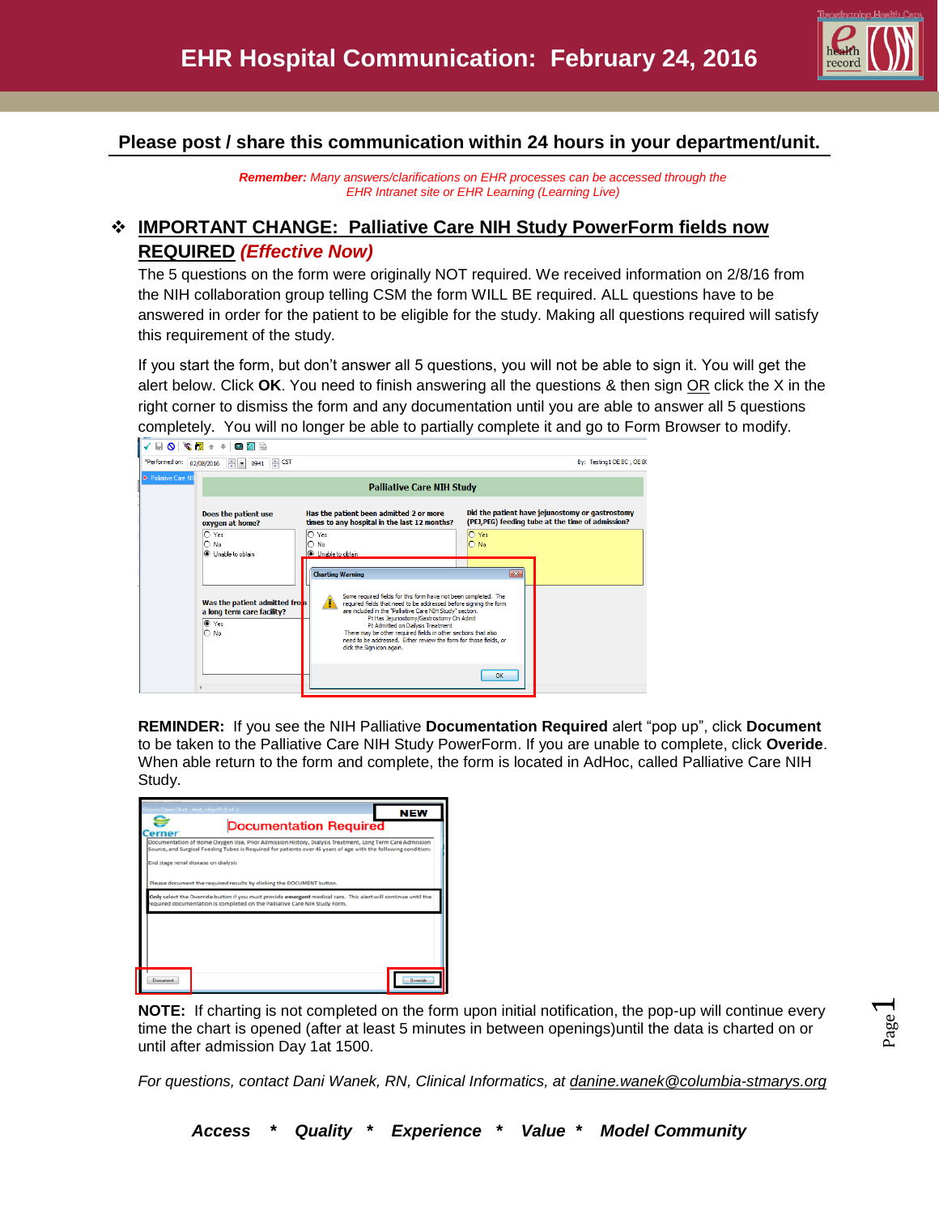

## **Please post / share this communication within 24 hours in your department/unit.**

*Remember: Many answers/clarifications on EHR processes can be accessed through the EHR Intranet site or EHR Learning (Learning Live)*

# **IMPORTANT CHANGE: Palliative Care NIH Study PowerForm fields now REQUIRED** *(Effective Now)*

The 5 questions on the form were originally NOT required. We received information on 2/8/16 from the NIH collaboration group telling CSM the form WILL BE required. ALL questions have to be answered in order for the patient to be eligible for the study. Making all questions required will satisfy this requirement of the study.

If you start the form, but don't answer all 5 questions, you will not be able to sign it. You will get the alert below. Click **OK**. You need to finish answering all the questions & then sign OR click the X in the right corner to dismiss the form and any documentation until you are able to answer all 5 questions completely. You will no longer be able to partially complete it and go to Form Browser to modify.

| *Performed.on:               | $\Leftrightarrow$ CST<br>$\div$ $\bullet$ 0941<br>02/08/2016 |                                                                                                                                                                                                                                                                                                               | By: Testing 1 OE BC, OE BC                                                                          |  |  |
|------------------------------|--------------------------------------------------------------|---------------------------------------------------------------------------------------------------------------------------------------------------------------------------------------------------------------------------------------------------------------------------------------------------------------|-----------------------------------------------------------------------------------------------------|--|--|
| <b>*</b> Palliative Care NII | <b>Palliative Care NIH Study</b>                             |                                                                                                                                                                                                                                                                                                               |                                                                                                     |  |  |
|                              | Does the patient use<br>oxygen at home?                      | Has the patient been admitted 2 or more<br>times to any hospital in the last 12 months?                                                                                                                                                                                                                       | Did the patient have jejunostomy or gastrostomy<br>(PEJ,PEG) feeding tube at the time of admission? |  |  |
|                              | $O$ Yes<br>$\bigcap$ No<br><b>O</b> Linable to obtain        | $\bigcirc$ Yes<br>$\bigcap$ No<br><b>O</b> Unable to obtain                                                                                                                                                                                                                                                   | O Yes<br>$\bigcap$ No                                                                               |  |  |
|                              | Was the patient admitted from                                | <b>Charting Warning</b><br>Some required fields for this form have not been completed. The<br>required fields that need to be addressed before signing the form                                                                                                                                               | $\boxed{\mathbf{x}}$                                                                                |  |  |
|                              | a long term care facility?<br>$\bullet$ Yes<br>$\bigcap$ No  | are included in the "Palliative Care NIH Study" section.<br>Pt Has Jejunostomy/Gastrostomy On Admit<br>Pt Admitted on Dialysis Treatment<br>There may be other required fields in other sections that also<br>need to be addressed. Either review the form for those fields, or<br>click the Sign icon again. |                                                                                                     |  |  |
|                              |                                                              |                                                                                                                                                                                                                                                                                                               | OK                                                                                                  |  |  |

**REMINDER:** If you see the NIH Palliative **Documentation Required** alert "pop up", click **Document**  to be taken to the Palliative Care NIH Study PowerForm. If you are unable to complete, click **Overide**. When able return to the form and complete, the form is located in AdHoc, called Palliative Care NIH Study.

| ◒<br>erner                                                                                                                                                                                                                                                                                                                                | cern: Open Chart - ztest, nihpc55 (1 of 1)                                                                                                                                                 | <b>Documentation Required</b> | <b>NEW</b>      |  |  |
|-------------------------------------------------------------------------------------------------------------------------------------------------------------------------------------------------------------------------------------------------------------------------------------------------------------------------------------------|--------------------------------------------------------------------------------------------------------------------------------------------------------------------------------------------|-------------------------------|-----------------|--|--|
| Documentation of Home Oxygen Use, Prior Admission History, Dialysis Treatment, Long Term Care Admission<br>Source, and Surgical Feeding Tubes is Required for patients over 45 years of age with the following condition:<br>End stage renal disease on dialysis<br>Please document the required results by clicking the DOCUMENT button. |                                                                                                                                                                                            |                               |                 |  |  |
|                                                                                                                                                                                                                                                                                                                                           | Only select the Override button if you must provide emergent medical care. This alert will continue until the<br>equired documentation is completed on the Palliative Care NIH Study Form. |                               |                 |  |  |
| Document:                                                                                                                                                                                                                                                                                                                                 |                                                                                                                                                                                            |                               | <b>Q</b> veride |  |  |

**NOTE:** If charting is not completed on the form upon initial notification, the pop-up will continue every time the chart is opened (after at least 5 minutes in between openings)until the data is charted on or until after admission Day 1at 1500.

*For questions, contact Dani Wanek, RN, Clinical Informatics, at [danine.wanek@columbia-stmarys.org](mailto:danine.wanek@columbia-stmarys.org)*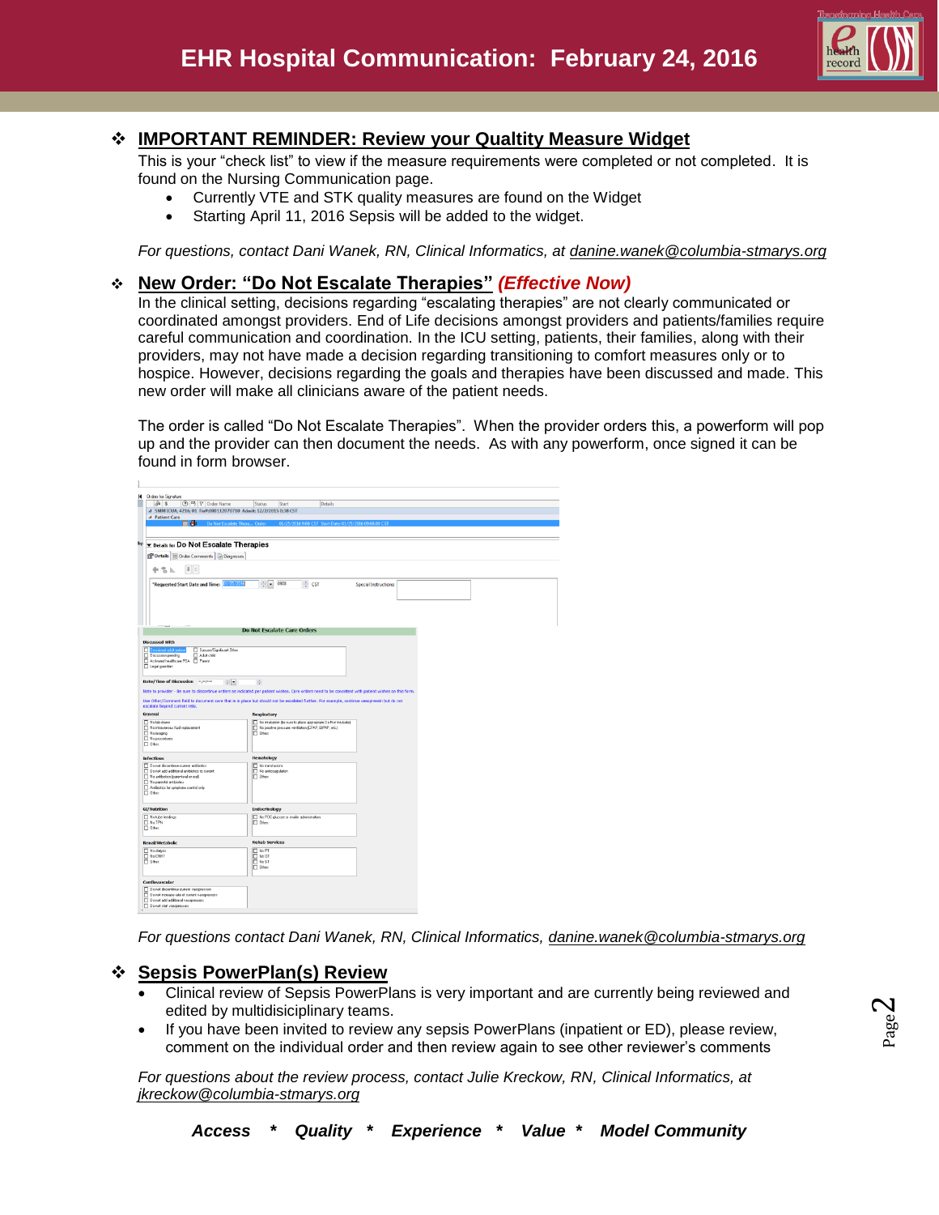

### **IMPORTANT REMINDER: Review your Qualtity Measure Widget**

This is your "check list" to view if the measure requirements were completed or not completed. It is found on the Nursing Communication page.

- Currently VTE and STK quality measures are found on the Widget
- Starting April 11, 2016 Sepsis will be added to the widget.

*For questions, contact Dani Wanek, RN, Clinical Informatics, at [danine.wanek@columbia-stmarys.org](mailto:danine.wanek@columbia-stmarys.org)*

### **New Order: "Do Not Escalate Therapies"** *(Effective Now)*

In the clinical setting, decisions regarding "escalating therapies" are not clearly communicated or coordinated amongst providers. End of Life decisions amongst providers and patients/families require careful communication and coordination. In the ICU setting, patients, their families, along with their providers, may not have made a decision regarding transitioning to comfort measures only or to hospice. However, decisions regarding the goals and therapies have been discussed and made. This new order will make all clinicians aware of the patient needs.

The order is called "Do Not Escalate Therapies". When the provider orders this, a powerform will pop up and the provider can then document the needs. As with any powerform, once signed it can be found in form browser.

| <b>Orders for Signature</b><br>н                                                                                                                            |                                                                                                                                                       |
|-------------------------------------------------------------------------------------------------------------------------------------------------------------|-------------------------------------------------------------------------------------------------------------------------------------------------------|
| ⊙ B ヤ Order Name<br>88                                                                                                                                      | <b>Status</b><br>Start<br><b>Details</b>                                                                                                              |
| 4 SMM ICUA: 4216; 01 Fin#:000112070710 Admit: 12/2/2015 0:38 CST                                                                                            |                                                                                                                                                       |
| 4 Patient Care<br>π⊕<br>Do Not Foralate Thera Onles                                                                                                         | 01/25/2016 9:08 CST Start Date: 01/25/2016 09:08:00 CS                                                                                                |
|                                                                                                                                                             |                                                                                                                                                       |
| bp x Details for Do Not Escalate Therapies                                                                                                                  |                                                                                                                                                       |
|                                                                                                                                                             |                                                                                                                                                       |
| Diagnoses                                                                                                                                                   |                                                                                                                                                       |
| <br>中等区                                                                                                                                                     |                                                                                                                                                       |
| *Requested Start Date and Time:                                                                                                                             | ≑ cst<br>$\div$ - 0908<br><b>Special Instructions:</b>                                                                                                |
|                                                                                                                                                             | <b>Do Not Escalate Care Orders</b>                                                                                                                    |
| <b>Discussed With</b>                                                                                                                                       |                                                                                                                                                       |
| m<br><b>Incisional adult patie</b><br>Spouse/Significant Other<br>Discussion pending<br>Adult child<br>Activated healthcare POA El Parent<br>Legal guardian |                                                                                                                                                       |
| Date/Time of Discussion "/"/"<br>위치                                                                                                                         | 후                                                                                                                                                     |
|                                                                                                                                                             | Note to provider - Be sure to discontinue orders as indicated per patient wishes. Care orders need to be consistent with patient wishes on this form. |
|                                                                                                                                                             | Use Other/Comment field to document care that is in place but should not be escalated further. For example, continue vasopressin but do not           |
| escalate beyond current rate.                                                                                                                               |                                                                                                                                                       |
| General                                                                                                                                                     | <b>Respiratory</b>                                                                                                                                    |
| No lab draws<br>No intravenous fluid replacement                                                                                                            | No intubation (be sure to place appropriate Do Not Initubate)<br>No positive pressure ventilation (CPAP, BIPAP, etc.)                                 |
| No imaging<br>No procedures                                                                                                                                 | D Dher:                                                                                                                                               |
| $\Box$ Other                                                                                                                                                |                                                                                                                                                       |
| <b>Infectious</b>                                                                                                                                           | <b>Hematology</b>                                                                                                                                     |
| T Do not docontinue current antibiotics                                                                                                                     | No transfusions                                                                                                                                       |
| Do not add additional antibiotics to current<br>No antibiotics (parenteral or oral)                                                                         | No enficoagulation<br>Dher:                                                                                                                           |
| No parental antibiotics                                                                                                                                     |                                                                                                                                                       |
| Antibiotics for symptoms control only<br>C Other                                                                                                            |                                                                                                                                                       |
|                                                                                                                                                             |                                                                                                                                                       |
| <b>GI/Nutrition</b>                                                                                                                                         | <b>Endocrinology</b>                                                                                                                                  |
| No tube feedings<br><b>No TPN</b><br><b>C</b> Other                                                                                                         | No POC glucose or insulin administration<br><b>ITI</b> Dher:                                                                                          |
| <b>Renal/Metabolic</b>                                                                                                                                      | <b>Rehab Services</b>                                                                                                                                 |
| No dialysis                                                                                                                                                 | No PT                                                                                                                                                 |
| <b>No CRRT</b><br><b>C</b> Other                                                                                                                            | $\Gamma$ No.0T<br>No ST                                                                                                                               |
|                                                                                                                                                             | Dher:                                                                                                                                                 |
| Cardiovascular                                                                                                                                              |                                                                                                                                                       |
| Do not discontinue current vasopressors                                                                                                                     |                                                                                                                                                       |
| Do not increase rate of current vacopressors                                                                                                                |                                                                                                                                                       |
| Do not add additional vacopressors<br>Do not start vacopressors                                                                                             |                                                                                                                                                       |
|                                                                                                                                                             |                                                                                                                                                       |

*For questions contact Dani Wanek, RN, Clinical Informatics, [danine.wanek@columbia-stmarys.org](mailto:danine.wanek@columbia-stmarys.org)*

#### **Sepsis PowerPlan(s) Review**

- Clinical review of Sepsis PowerPlans is very important and are currently being reviewed and edited by multidisiciplinary teams.
- If you have been invited to review any sepsis PowerPlans (inpatient or ED), please review, comment on the individual order and then review again to see other reviewer's comments

*For questions about the review process, contact Julie Kreckow, RN, Clinical Informatics, at jkreckow@columbia-stmarys.org*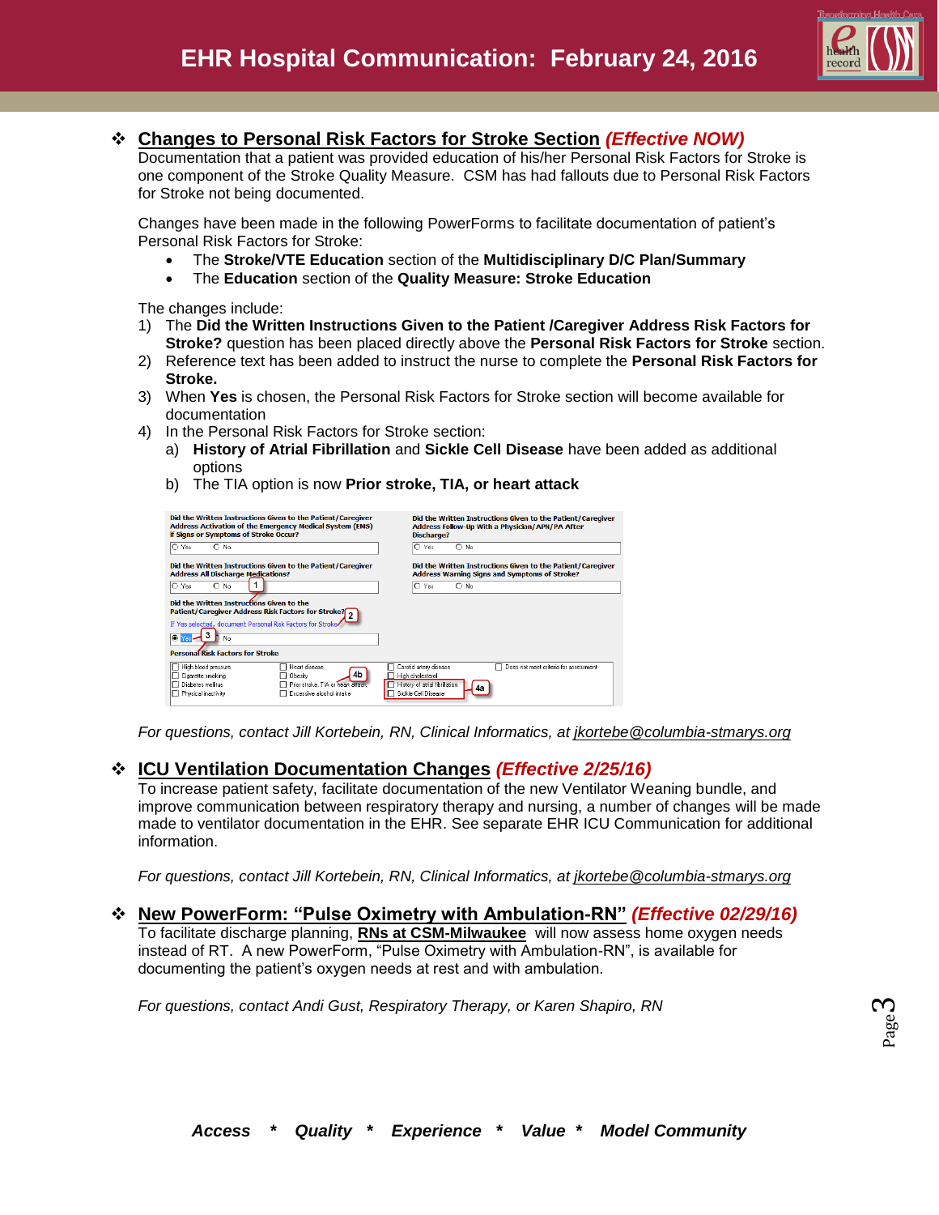

### **Changes to Personal Risk Factors for Stroke Section** *(Effective NOW)*

Documentation that a patient was provided education of his/her Personal Risk Factors for Stroke is one component of the Stroke Quality Measure. CSM has had fallouts due to Personal Risk Factors for Stroke not being documented.

Changes have been made in the following PowerForms to facilitate documentation of patient's Personal Risk Factors for Stroke:

- The **Stroke/VTE Education** section of the **Multidisciplinary D/C Plan/Summary**
- The **Education** section of the **Quality Measure: Stroke Education**

The changes include:

- 1) The **Did the Written Instructions Given to the Patient /Caregiver Address Risk Factors for Stroke?** question has been placed directly above the **Personal Risk Factors for Stroke** section.
- 2) Reference text has been added to instruct the nurse to complete the **Personal Risk Factors for Stroke.**
- 3) When **Yes** is chosen, the Personal Risk Factors for Stroke section will become available for documentation
- 4) In the Personal Risk Factors for Stroke section:
	- a) **History of Atrial Fibrillation** and **Sickle Cell Disease** have been added as additional options
	- b) The TIA option is now **Prior stroke, TIA, or heart attack**

| Did the Written Instructions Given to the Patient/Caregiver                                                                                                                                                         | Did the Written Instructions Given to the Patient/Caregiver                                                                                        |  |  |
|---------------------------------------------------------------------------------------------------------------------------------------------------------------------------------------------------------------------|----------------------------------------------------------------------------------------------------------------------------------------------------|--|--|
| <b>Address Activation of the Emergency Medical System (EMS)</b>                                                                                                                                                     | Address Follow-Up With a Physician/APN/PA After                                                                                                    |  |  |
| if Signs or Symptoms of Stroke Occur?                                                                                                                                                                               | <b>Discharge?</b>                                                                                                                                  |  |  |
| $\circ$ Yes                                                                                                                                                                                                         | O Yes                                                                                                                                              |  |  |
| $\bigcap$ No.                                                                                                                                                                                                       | $\bigcirc$ No                                                                                                                                      |  |  |
| Did the Written Instructions Given to the Patient/Caregiver                                                                                                                                                         | Did the Written Instructions Given to the Patient/Caregiver                                                                                        |  |  |
| <b>Address All Discharge Medications?</b>                                                                                                                                                                           | <b>Address Warning Signs and Symptoms of Stroke?</b>                                                                                               |  |  |
| IO.<br>Yes<br>$\bigcirc$ No                                                                                                                                                                                         | $O$ No.<br>O Yes                                                                                                                                   |  |  |
| Did the Written Instructions Given to the<br>Patient/Caregiver Address Risk Factors for Stroke?<br>If Yes selected, document Personal Risk Factors for Stroke<br>◉<br>Nn<br><b>Personal Risk Factors for Stroke</b> |                                                                                                                                                    |  |  |
| High blood pressure<br>□ Heart disease<br>4b<br>Cigarette smoking<br>□ Obesitv<br>Diabetes mellitus<br>Prior stroke, TIA or heart attack<br>Excessive alcohol intake<br>Physical inactivity                         | Does not meet criteria for assessment<br>Carotid artery disease<br>High cholesterol<br>History of atrial fibrillation<br>Δя<br>Sickle Cell Disease |  |  |

*For questions, contact Jill Kortebein, RN, Clinical Informatics, at [jkortebe@columbia-stmarys.org](mailto:jkortebe@columbia-stmarys.org)*

### **ICU Ventilation Documentation Changes** *(Effective 2/25/16)*

To increase patient safety, facilitate documentation of the new Ventilator Weaning bundle, and improve communication between respiratory therapy and nursing, a number of changes will be made made to ventilator documentation in the EHR. See separate EHR ICU Communication for additional information.

*For questions, contact Jill Kortebein, RN, Clinical Informatics, at [jkortebe@columbia-stmarys.org](mailto:jkortebe@columbia-stmarys.org)*

#### **New PowerForm: "Pulse Oximetry with Ambulation-RN"** *(Effective 02/29/16)*

To facilitate discharge planning, **RNs at CSM-Milwaukee** will now assess home oxygen needs instead of RT. A new PowerForm, "Pulse Oximetry with Ambulation-RN", is available for documenting the patient's oxygen needs at rest and with ambulation.

*For questions, contact Andi Gust, Respiratory Therapy, or Karen Shapiro, RN*